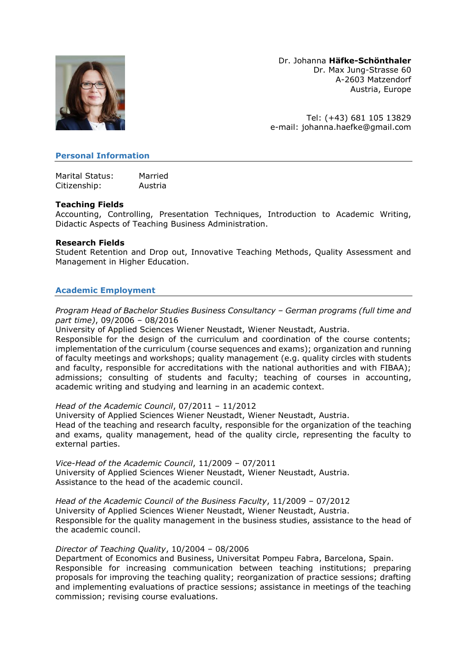

Dr. Johanna **Häfke-Schönthaler** Dr. Max Jung-Strasse 60 A-2603 Matzendorf Austria, Europe

Tel: (+43) 681 105 13829 e-mail: [johanna.haefke@gmail.com](mailto:johanna.haefke@gmail.com)

### **Personal Information**

Marital Status: Married Citizenship: Austria

### **Teaching Fields**

Accounting, Controlling, Presentation Techniques, Introduction to Academic Writing, Didactic Aspects of Teaching Business Administration.

### **Research Fields**

Student Retention and Drop out, Innovative Teaching Methods, Quality Assessment and Management in Higher Education.

# **Academic Employment**

*Program Head of Bachelor Studies Business Consultancy – German programs (full time and part time)*, 09/2006 – 08/2016

University of Applied Sciences Wiener Neustadt, Wiener Neustadt, Austria.

Responsible for the design of the curriculum and coordination of the course contents; implementation of the curriculum (course sequences and exams); organization and running of faculty meetings and workshops; quality management (e.g. quality circles with students and faculty, responsible for accreditations with the national authorities and with FIBAA); admissions; consulting of students and faculty; teaching of courses in accounting, academic writing and studying and learning in an academic context.

#### *Head of the Academic Council*, 07/2011 – 11/2012

University of Applied Sciences Wiener Neustadt, Wiener Neustadt, Austria. Head of the teaching and research faculty, responsible for the organization of the teaching and exams, quality management, head of the quality circle, representing the faculty to external parties.

*Vice-Head of the Academic Council*, 11/2009 – 07/2011 University of Applied Sciences Wiener Neustadt, Wiener Neustadt, Austria. Assistance to the head of the academic council.

*Head of the Academic Council of the Business Faculty*, 11/2009 – 07/2012 University of Applied Sciences Wiener Neustadt, Wiener Neustadt, Austria. Responsible for the quality management in the business studies, assistance to the head of the academic council.

#### *Director of Teaching Quality*, 10/2004 – 08/2006

Department of Economics and Business, Universitat Pompeu Fabra, Barcelona, Spain. Responsible for increasing communication between teaching institutions; preparing proposals for improving the teaching quality; reorganization of practice sessions; drafting and implementing evaluations of practice sessions; assistance in meetings of the teaching commission; revising course evaluations.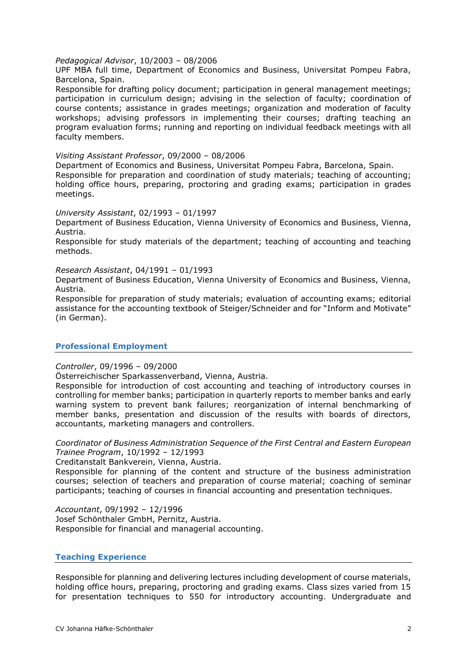### *Pedagogical Advisor*, 10/2003 – 08/2006

UPF MBA full time, Department of Economics and Business, Universitat Pompeu Fabra, Barcelona, Spain.

Responsible for drafting policy document; participation in general management meetings; participation in curriculum design; advising in the selection of faculty; coordination of course contents; assistance in grades meetings; organization and moderation of faculty workshops; advising professors in implementing their courses; drafting teaching an program evaluation forms; running and reporting on individual feedback meetings with all faculty members.

#### *Visiting Assistant Professor*, 09/2000 – 08/2006

Department of Economics and Business, Universitat Pompeu Fabra, Barcelona, Spain. Responsible for preparation and coordination of study materials; teaching of accounting; holding office hours, preparing, proctoring and grading exams; participation in grades meetings.

### *University Assistant*, 02/1993 – 01/1997

Department of Business Education, Vienna University of Economics and Business, Vienna, Austria.

Responsible for study materials of the department; teaching of accounting and teaching methods.

#### *Research Assistant*, 04/1991 – 01/1993

Department of Business Education, Vienna University of Economics and Business, Vienna, Austria.

Responsible for preparation of study materials; evaluation of accounting exams; editorial assistance for the accounting textbook of Steiger/Schneider and for "Inform and Motivate" (in German).

## **Professional Employment**

## *Controller*, 09/1996 – 09/2000

Österreichischer Sparkassenverband, Vienna, Austria.

Responsible for introduction of cost accounting and teaching of introductory courses in controlling for member banks; participation in quarterly reports to member banks and early warning system to prevent bank failures; reorganization of internal benchmarking of member banks, presentation and discussion of the results with boards of directors, accountants, marketing managers and controllers.

*Coordinator of Business Administration Sequence of the First Central and Eastern European Trainee Program*, 10/1992 – 12/1993

Creditanstalt Bankverein, Vienna, Austria.

Responsible for planning of the content and structure of the business administration courses; selection of teachers and preparation of course material; coaching of seminar participants; teaching of courses in financial accounting and presentation techniques.

*Accountant*, 09/1992 – 12/1996 Josef Schönthaler GmbH, Pernitz, Austria. Responsible for financial and managerial accounting.

## **Teaching Experience**

Responsible for planning and delivering lectures including development of course materials, holding office hours, preparing, proctoring and grading exams. Class sizes varied from 15 for presentation techniques to 550 for introductory accounting. Undergraduate and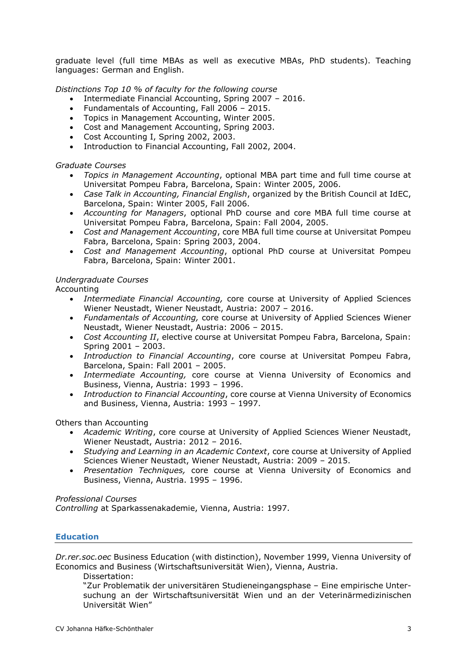graduate level (full time MBAs as well as executive MBAs, PhD students). Teaching languages: German and English.

*Distinctions Top 10 % of faculty for the following course*

- Intermediate Financial Accounting, Spring 2007 2016.
- Fundamentals of Accounting, Fall 2006 2015.
- Topics in Management Accounting, Winter 2005.
- Cost and Management Accounting, Spring 2003.
- Cost Accounting I, Spring 2002, 2003.
- Introduction to Financial Accounting, Fall 2002, 2004.

#### *Graduate Courses*

- *Topics in Management Accounting*, optional MBA part time and full time course at Universitat Pompeu Fabra, Barcelona, Spain: Winter 2005, 2006.
- *Case Talk in Accounting, Financial English*, organized by the British Council at IdEC, Barcelona, Spain: Winter 2005, Fall 2006.
- *Accounting for Managers*, optional PhD course and core MBA full time course at Universitat Pompeu Fabra, Barcelona, Spain: Fall 2004, 2005.
- *Cost and Management Accounting*, core MBA full time course at Universitat Pompeu Fabra, Barcelona, Spain: Spring 2003, 2004.
- *Cost and Management Accounting*, optional PhD course at Universitat Pompeu Fabra, Barcelona, Spain: Winter 2001.

### *Undergraduate Courses*

Accounting

- *Intermediate Financial Accounting,* core course at University of Applied Sciences Wiener Neustadt, Wiener Neustadt, Austria: 2007 – 2016.
- *Fundamentals of Accounting,* core course at University of Applied Sciences Wiener Neustadt, Wiener Neustadt, Austria: 2006 – 2015.
- *Cost Accounting II*, elective course at Universitat Pompeu Fabra, Barcelona, Spain: Spring 2001 – 2003.
- *Introduction to Financial Accounting*, core course at Universitat Pompeu Fabra, Barcelona, Spain: Fall 2001 – 2005.
- *Intermediate Accounting,* core course at Vienna University of Economics and Business, Vienna, Austria: 1993 – 1996.
- *Introduction to Financial Accounting*, core course at Vienna University of Economics and Business, Vienna, Austria: 1993 – 1997.

#### Others than Accounting

- *Academic Writing*, core course at University of Applied Sciences Wiener Neustadt, Wiener Neustadt, Austria: 2012 – 2016.
- *Studying and Learning in an Academic Context*, core course at University of Applied Sciences Wiener Neustadt, Wiener Neustadt, Austria: 2009 – 2015.
- *Presentation Techniques,* core course at Vienna University of Economics and Business, Vienna, Austria. 1995 – 1996.

#### *Professional Courses*

*Controlling* at Sparkassenakademie, Vienna, Austria: 1997.

# **Education**

*Dr.rer.soc.oec* Business Education (with distinction), November 1999, Vienna University of Economics and Business (Wirtschaftsuniversität Wien), Vienna, Austria.

Dissertation:

"Zur Problematik der universitären Studieneingangsphase – Eine empirische Untersuchung an der Wirtschaftsuniversität Wien und an der Veterinärmedizinischen Universität Wien"